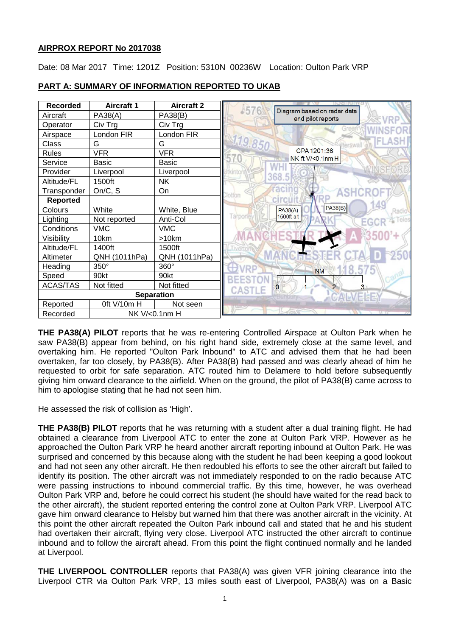## **AIRPROX REPORT No 2017038**

Date: 08 Mar 2017 Time: 1201Z Position: 5310N 00236W Location: Oulton Park VRP



# **PART A: SUMMARY OF INFORMATION REPORTED TO UKAB**

**THE PA38(A) PILOT** reports that he was re-entering Controlled Airspace at Oulton Park when he saw PA38(B) appear from behind, on his right hand side, extremely close at the same level, and overtaking him. He reported "Oulton Park Inbound" to ATC and advised them that he had been overtaken, far too closely, by PA38(B). After PA38(B) had passed and was clearly ahead of him he requested to orbit for safe separation. ATC routed him to Delamere to hold before subsequently giving him onward clearance to the airfield. When on the ground, the pilot of PA38(B) came across to him to apologise stating that he had not seen him.

He assessed the risk of collision as 'High'.

**THE PA38(B) PILOT** reports that he was returning with a student after a dual training flight. He had obtained a clearance from Liverpool ATC to enter the zone at Oulton Park VRP. However as he approached the Oulton Park VRP he heard another aircraft reporting inbound at Oulton Park. He was surprised and concerned by this because along with the student he had been keeping a good lookout and had not seen any other aircraft. He then redoubled his efforts to see the other aircraft but failed to identify its position. The other aircraft was not immediately responded to on the radio because ATC were passing instructions to inbound commercial traffic. By this time, however, he was overhead Oulton Park VRP and, before he could correct his student (he should have waited for the read back to the other aircraft), the student reported entering the control zone at Oulton Park VRP. Liverpool ATC gave him onward clearance to Helsby but warned him that there was another aircraft in the vicinity. At this point the other aircraft repeated the Oulton Park inbound call and stated that he and his student had overtaken their aircraft, flying very close. Liverpool ATC instructed the other aircraft to continue inbound and to follow the aircraft ahead. From this point the flight continued normally and he landed at Liverpool.

**THE LIVERPOOL CONTROLLER** reports that PA38(A) was given VFR joining clearance into the Liverpool CTR via Oulton Park VRP, 13 miles south east of Liverpool, PA38(A) was on a Basic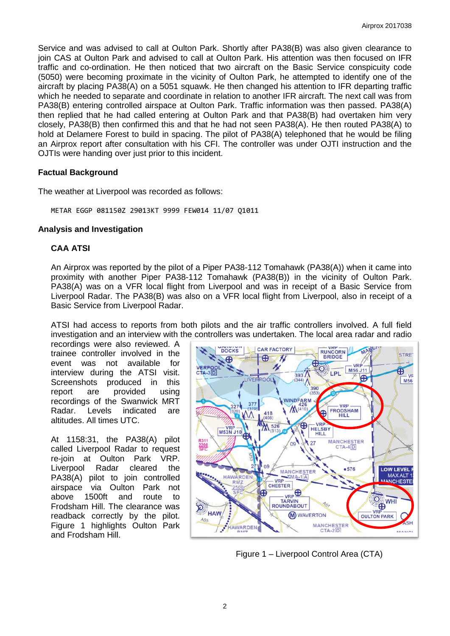Service and was advised to call at Oulton Park. Shortly after PA38(B) was also given clearance to join CAS at Oulton Park and advised to call at Oulton Park. His attention was then focused on IFR traffic and co-ordination. He then noticed that two aircraft on the Basic Service conspicuity code (5050) were becoming proximate in the vicinity of Oulton Park, he attempted to identify one of the aircraft by placing PA38(A) on a 5051 squawk. He then changed his attention to IFR departing traffic which he needed to separate and coordinate in relation to another IFR aircraft. The next call was from PA38(B) entering controlled airspace at Oulton Park. Traffic information was then passed. PA38(A) then replied that he had called entering at Oulton Park and that PA38(B) had overtaken him very closely, PA38(B) then confirmed this and that he had not seen PA38(A). He then routed PA38(A) to hold at Delamere Forest to build in spacing. The pilot of PA38(A) telephoned that he would be filing an Airprox report after consultation with his CFI. The controller was under OJTI instruction and the OJTIs were handing over just prior to this incident.

### **Factual Background**

The weather at Liverpool was recorded as follows:

METAR EGGP 081150Z 29013KT 9999 FEW014 11/07 Q1011

### **Analysis and Investigation**

### **CAA ATSI**

An Airprox was reported by the pilot of a Piper PA38-112 Tomahawk (PA38(A)) when it came into proximity with another Piper PA38-112 Tomahawk (PA38(B)) in the vicinity of Oulton Park. PA38(A) was on a VFR local flight from Liverpool and was in receipt of a Basic Service from Liverpool Radar. The PA38(B) was also on a VFR local flight from Liverpool, also in receipt of a Basic Service from Liverpool Radar.

ATSI had access to reports from both pilots and the air traffic controllers involved. A full field investigation and an interview with the controllers was undertaken. The local area radar and radio

recordings were also reviewed. A trainee controller involved in the event was not available for interview during the ATSI visit. Screenshots produced in this report are provided using recordings of the Swanwick MRT Radar. Levels indicated are altitudes. All times UTC.

At 1158:31, the PA38(A) pilot called Liverpool Radar to request re-join at Oulton Park VRP. Liverpool Radar cleared the PA38(A) pilot to join controlled airspace via Oulton Park not above 1500ft and route to Frodsham Hill. The clearance was readback correctly by the pilot. Figure 1 highlights Oulton Park and Frodsham Hill.



Figure 1 – Liverpool Control Area (CTA)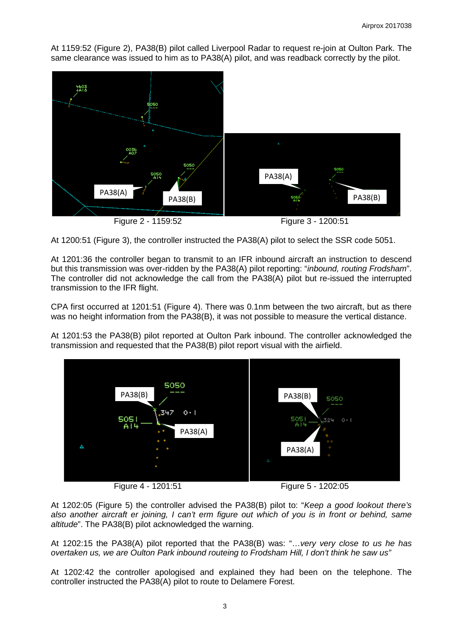At 1159:52 (Figure 2), PA38(B) pilot called Liverpool Radar to request re-join at Oulton Park. The same clearance was issued to him as to PA38(A) pilot, and was readback correctly by the pilot.



At 1200:51 (Figure 3), the controller instructed the PA38(A) pilot to select the SSR code 5051.

At 1201:36 the controller began to transmit to an IFR inbound aircraft an instruction to descend but this transmission was over-ridden by the PA38(A) pilot reporting: "*inbound, routing Frodsham*". The controller did not acknowledge the call from the PA38(A) pilot but re-issued the interrupted transmission to the IFR flight.

CPA first occurred at 1201:51 (Figure 4). There was 0.1nm between the two aircraft, but as there was no height information from the PA38(B), it was not possible to measure the vertical distance.

At 1201:53 the PA38(B) pilot reported at Oulton Park inbound. The controller acknowledged the transmission and requested that the PA38(B) pilot report visual with the airfield.



Figure 4 - 1201:51 Figure 5 - 1202:05

At 1202:05 (Figure 5) the controller advised the PA38(B) pilot to: "*Keep a good lookout there's also another aircraft er joining, I can't erm figure out which of you is in front or behind, same altitude*". The PA38(B) pilot acknowledged the warning.

At 1202:15 the PA38(A) pilot reported that the PA38(B) was: "…*very very close to us he has overtaken us, we are Oulton Park inbound routeing to Frodsham Hill, I don't think he saw us"*

At 1202:42 the controller apologised and explained they had been on the telephone. The controller instructed the PA38(A) pilot to route to Delamere Forest.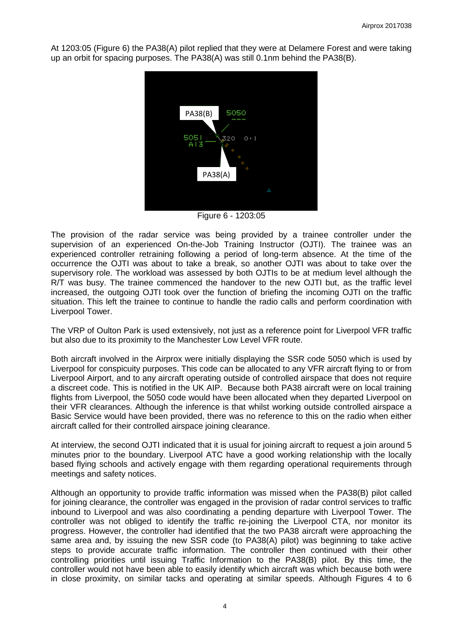At 1203:05 (Figure 6) the PA38(A) pilot replied that they were at Delamere Forest and were taking up an orbit for spacing purposes. The PA38(A) was still 0.1nm behind the PA38(B).



Figure 6 - 1203:05

The provision of the radar service was being provided by a trainee controller under the supervision of an experienced On-the-Job Training Instructor (OJTI). The trainee was an experienced controller retraining following a period of long-term absence. At the time of the occurrence the OJTI was about to take a break, so another OJTI was about to take over the supervisory role. The workload was assessed by both OJTIs to be at medium level although the R/T was busy. The trainee commenced the handover to the new OJTI but, as the traffic level increased, the outgoing OJTI took over the function of briefing the incoming OJTI on the traffic situation. This left the trainee to continue to handle the radio calls and perform coordination with Liverpool Tower.

The VRP of Oulton Park is used extensively, not just as a reference point for Liverpool VFR traffic but also due to its proximity to the Manchester Low Level VFR route.

Both aircraft involved in the Airprox were initially displaying the SSR code 5050 which is used by Liverpool for conspicuity purposes. This code can be allocated to any VFR aircraft flying to or from Liverpool Airport, and to any aircraft operating outside of controlled airspace that does not require a discreet code. This is notified in the UK AIP. Because both PA38 aircraft were on local training flights from Liverpool, the 5050 code would have been allocated when they departed Liverpool on their VFR clearances. Although the inference is that whilst working outside controlled airspace a Basic Service would have been provided, there was no reference to this on the radio when either aircraft called for their controlled airspace joining clearance.

At interview, the second OJTI indicated that it is usual for joining aircraft to request a join around 5 minutes prior to the boundary. Liverpool ATC have a good working relationship with the locally based flying schools and actively engage with them regarding operational requirements through meetings and safety notices.

Although an opportunity to provide traffic information was missed when the PA38(B) pilot called for joining clearance, the controller was engaged in the provision of radar control services to traffic inbound to Liverpool and was also coordinating a pending departure with Liverpool Tower. The controller was not obliged to identify the traffic re-joining the Liverpool CTA, nor monitor its progress. However, the controller had identified that the two PA38 aircraft were approaching the same area and, by issuing the new SSR code (to PA38(A) pilot) was beginning to take active steps to provide accurate traffic information. The controller then continued with their other controlling priorities until issuing Traffic Information to the PA38(B) pilot. By this time, the controller would not have been able to easily identify which aircraft was which because both were in close proximity, on similar tacks and operating at similar speeds. Although Figures 4 to 6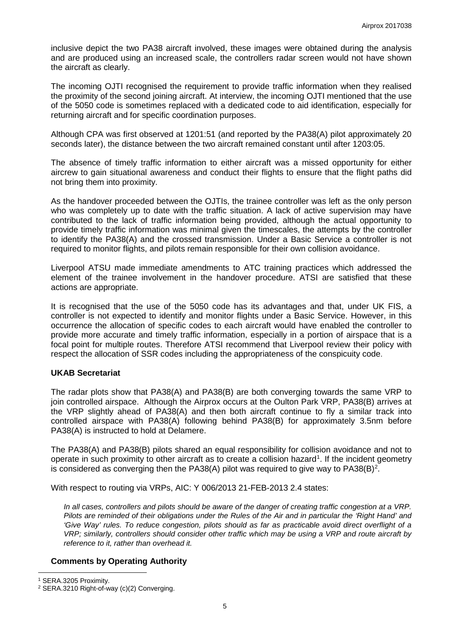inclusive depict the two PA38 aircraft involved, these images were obtained during the analysis and are produced using an increased scale, the controllers radar screen would not have shown the aircraft as clearly.

The incoming OJTI recognised the requirement to provide traffic information when they realised the proximity of the second joining aircraft. At interview, the incoming OJTI mentioned that the use of the 5050 code is sometimes replaced with a dedicated code to aid identification, especially for returning aircraft and for specific coordination purposes.

Although CPA was first observed at 1201:51 (and reported by the PA38(A) pilot approximately 20 seconds later), the distance between the two aircraft remained constant until after 1203:05.

The absence of timely traffic information to either aircraft was a missed opportunity for either aircrew to gain situational awareness and conduct their flights to ensure that the flight paths did not bring them into proximity.

As the handover proceeded between the OJTIs, the trainee controller was left as the only person who was completely up to date with the traffic situation. A lack of active supervision may have contributed to the lack of traffic information being provided, although the actual opportunity to provide timely traffic information was minimal given the timescales, the attempts by the controller to identify the PA38(A) and the crossed transmission. Under a Basic Service a controller is not required to monitor flights, and pilots remain responsible for their own collision avoidance.

Liverpool ATSU made immediate amendments to ATC training practices which addressed the element of the trainee involvement in the handover procedure. ATSI are satisfied that these actions are appropriate.

It is recognised that the use of the 5050 code has its advantages and that, under UK FIS, a controller is not expected to identify and monitor flights under a Basic Service. However, in this occurrence the allocation of specific codes to each aircraft would have enabled the controller to provide more accurate and timely traffic information, especially in a portion of airspace that is a focal point for multiple routes. Therefore ATSI recommend that Liverpool review their policy with respect the allocation of SSR codes including the appropriateness of the conspicuity code.

### **UKAB Secretariat**

The radar plots show that PA38(A) and PA38(B) are both converging towards the same VRP to join controlled airspace. Although the Airprox occurs at the Oulton Park VRP, PA38(B) arrives at the VRP slightly ahead of PA38(A) and then both aircraft continue to fly a similar track into controlled airspace with PA38(A) following behind PA38(B) for approximately 3.5nm before PA38(A) is instructed to hold at Delamere.

The PA38(A) and PA38(B) pilots shared an equal responsibility for collision avoidance and not to operate in such proximity to other aircraft as to create a collision hazard<sup>[1](#page-4-0)</sup>. If the incident geometry is considered as converging then the PA38(A) pilot was required to give way to PA38(B)<sup>[2](#page-4-1)</sup>.

With respect to routing via VRPs, AIC: Y 006/2013 21-FEB-2013 2.4 states:

*In all cases, controllers and pilots should be aware of the danger of creating traffic congestion at a VRP. Pilots are reminded of their obligations under the Rules of the Air and in particular the 'Right Hand' and 'Give Way' rules. To reduce congestion, pilots should as far as practicable avoid direct overflight of a VRP; similarly, controllers should consider other traffic which may be using a VRP and route aircraft by reference to it, rather than overhead it.*

## **Comments by Operating Authority**

l

<span id="page-4-0"></span><sup>1</sup> SERA.3205 Proximity.

<span id="page-4-1"></span><sup>2</sup> SERA.3210 Right-of-way (c)(2) Converging.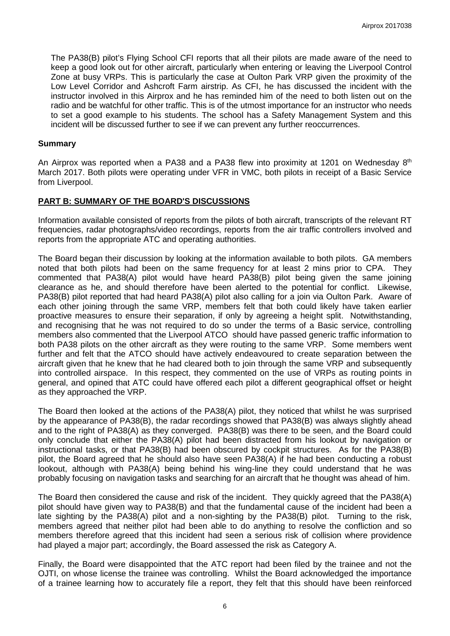The PA38(B) pilot's Flying School CFI reports that all their pilots are made aware of the need to keep a good look out for other aircraft, particularly when entering or leaving the Liverpool Control Zone at busy VRPs. This is particularly the case at Oulton Park VRP given the proximity of the Low Level Corridor and Ashcroft Farm airstrip. As CFI, he has discussed the incident with the instructor involved in this Airprox and he has reminded him of the need to both listen out on the radio and be watchful for other traffic. This is of the utmost importance for an instructor who needs to set a good example to his students. The school has a Safety Management System and this incident will be discussed further to see if we can prevent any further reoccurrences.

### **Summary**

An Airprox was reported when a PA38 and a PA38 flew into proximity at 1201 on Wednesday  $8<sup>th</sup>$ March 2017. Both pilots were operating under VFR in VMC, both pilots in receipt of a Basic Service from Liverpool.

## **PART B: SUMMARY OF THE BOARD'S DISCUSSIONS**

Information available consisted of reports from the pilots of both aircraft, transcripts of the relevant RT frequencies, radar photographs/video recordings, reports from the air traffic controllers involved and reports from the appropriate ATC and operating authorities.

The Board began their discussion by looking at the information available to both pilots. GA members noted that both pilots had been on the same frequency for at least 2 mins prior to CPA. They commented that PA38(A) pilot would have heard PA38(B) pilot being given the same joining clearance as he, and should therefore have been alerted to the potential for conflict. Likewise, PA38(B) pilot reported that had heard PA38(A) pilot also calling for a join via Oulton Park. Aware of each other joining through the same VRP, members felt that both could likely have taken earlier proactive measures to ensure their separation, if only by agreeing a height split. Notwithstanding, and recognising that he was not required to do so under the terms of a Basic service, controlling members also commented that the Liverpool ATCO should have passed generic traffic information to both PA38 pilots on the other aircraft as they were routing to the same VRP. Some members went further and felt that the ATCO should have actively endeavoured to create separation between the aircraft given that he knew that he had cleared both to join through the same VRP and subsequently into controlled airspace. In this respect, they commented on the use of VRPs as routing points in general, and opined that ATC could have offered each pilot a different geographical offset or height as they approached the VRP.

The Board then looked at the actions of the PA38(A) pilot, they noticed that whilst he was surprised by the appearance of PA38(B), the radar recordings showed that PA38(B) was always slightly ahead and to the right of PA38(A) as they converged. PA38(B) was there to be seen, and the Board could only conclude that either the PA38(A) pilot had been distracted from his lookout by navigation or instructional tasks, or that PA38(B) had been obscured by cockpit structures. As for the PA38(B) pilot, the Board agreed that he should also have seen PA38(A) if he had been conducting a robust lookout, although with PA38(A) being behind his wing-line they could understand that he was probably focusing on navigation tasks and searching for an aircraft that he thought was ahead of him.

The Board then considered the cause and risk of the incident. They quickly agreed that the PA38(A) pilot should have given way to PA38(B) and that the fundamental cause of the incident had been a late sighting by the PA38(A) pilot and a non-sighting by the PA38(B) pilot. Turning to the risk, members agreed that neither pilot had been able to do anything to resolve the confliction and so members therefore agreed that this incident had seen a serious risk of collision where providence had played a major part; accordingly, the Board assessed the risk as Category A.

Finally, the Board were disappointed that the ATC report had been filed by the trainee and not the OJTI, on whose license the trainee was controlling. Whilst the Board acknowledged the importance of a trainee learning how to accurately file a report, they felt that this should have been reinforced